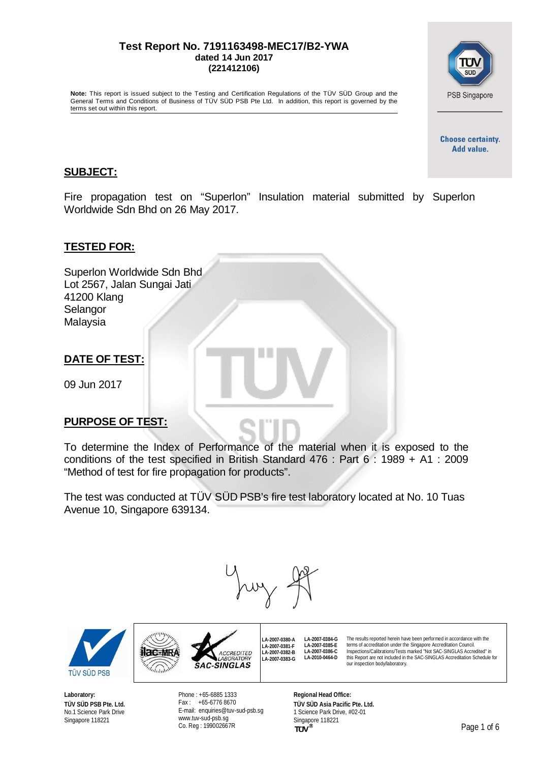

PSB Singapore

**Choose certainty.** Add value.

### **SUBJECT:**

Fire propagation test on "Superlon" Insulation material submitted by Superlon Worldwide Sdn Bhd on 26 May 2017.

### **TESTED FOR:**

| Superlon Worldwide Sdn Bhd<br>Lot 2567, Jalan Sungai Jati<br>41200 Klang<br>Selangor<br>Malaysia |  |  |  |
|--------------------------------------------------------------------------------------------------|--|--|--|
| DATE OF TEST:                                                                                    |  |  |  |
| 09 Jun 2017                                                                                      |  |  |  |
|                                                                                                  |  |  |  |

### **PURPOSE OF TEST:**

To determine the Index of Performance of the material when it is exposed to the conditions of the test specified in British Standard 476 : Part 6 : 1989 + A1 : 2009 "Method of test for fire propagation for products".

The test was conducted at TÜV SÜD PSB's fire test laboratory located at No. 10 Tuas Avenue 10, Singapore 639134.



**LA-2007-0380-A LA-2007-0381-F LA-2007-0382-B LA-2007-0383-G**



**ilac-MR** 

 $\sqrt{n}$ 

**Laboratory: TÜV SÜD PSB Pte. Ltd.** No.1 Science Park Drive Singapore 118221

Phone : +65-6885 1333 Fax : +65-6776 8670 E-mail: [enquiries@tuv-sud-psb.sg](mailto:enquiries@tuv-sud-psb.sg) [www.tuv-sud-psb.sg](http://www.tuv-sud-psb.sg/) Co. Reg : 199002667R

**SAC-SINGLAS** 

ACCREDITED<br>LABORATORY

**Regional Head Office: TÜV SÜD Asia Pacific Pte. Ltd.** 1 Science Park Drive, #02-01 Singapore 118221

**LA-2007-0384-G LA-2007-0385-E LA-2007-0386-C LA-2010-0464-D**

The results reported herein have been performed in accordance with the terms of accreditation under the Singapore Accreditation Council.<br>Inspections/Calibrations/Tests marked "Not SAC-SINGLAS Accredited" in this Report are not included in the SAC-SINGLAS Accreditation Schedule for

our inspection body/laboratory.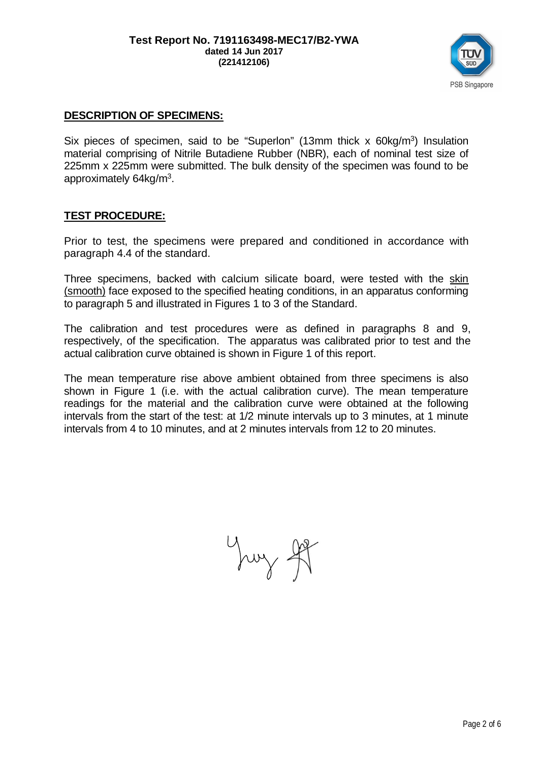

## **DESCRIPTION OF SPECIMENS:**

Six pieces of specimen, said to be "Superlon" (13mm thick  $x$  60kg/m<sup>3</sup>) Insulation material comprising of Nitrile Butadiene Rubber (NBR), each of nominal test size of 225mm x 225mm were submitted. The bulk density of the specimen was found to be approximately 64kg/m<sup>3</sup>.

## **TEST PROCEDURE:**

Prior to test, the specimens were prepared and conditioned in accordance with paragraph 4.4 of the standard.

Three specimens, backed with calcium silicate board, were tested with the skin (smooth) face exposed to the specified heating conditions, in an apparatus conforming to paragraph 5 and illustrated in Figures 1 to 3 of the Standard.

The calibration and test procedures were as defined in paragraphs 8 and 9, respectively, of the specification. The apparatus was calibrated prior to test and the actual calibration curve obtained is shown in Figure 1 of this report.

The mean temperature rise above ambient obtained from three specimens is also shown in Figure 1 (i.e. with the actual calibration curve). The mean temperature readings for the material and the calibration curve were obtained at the following intervals from the start of the test: at 1/2 minute intervals up to 3 minutes, at 1 minute intervals from 4 to 10 minutes, and at 2 minutes intervals from 12 to 20 minutes.

Yung If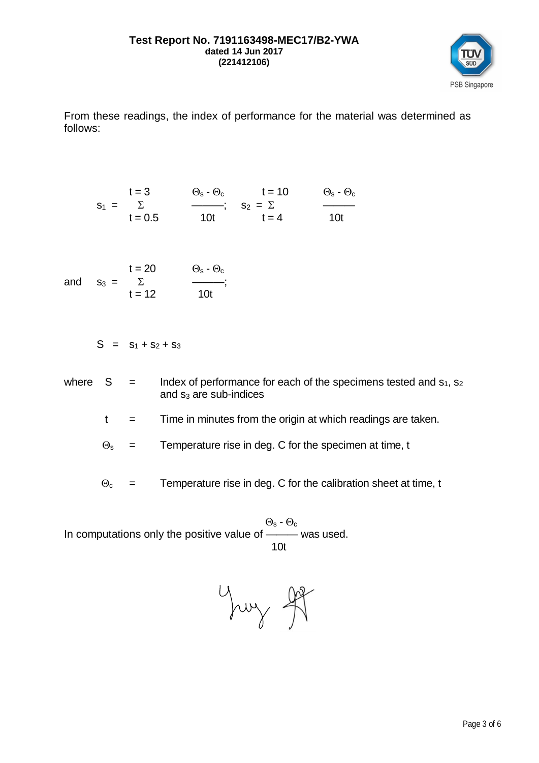

From these readings, the index of performance for the material was determined as follows:

$$
s_1 = \begin{array}{ccc} t = 3 & \Theta_s - \Theta_c & t = 10 & \Theta_s - \Theta_c \\ \Sigma & \overline{\phantom{0}} & \overline{\phantom{0}} & \Sigma_c & \Sigma_c & \overline{\phantom{0}} \\ t = 0.5 & 10t & t = 4 & 10t \end{array}
$$

|                    | $t = 20$ | $\Theta_{\tt S}$ - $\Theta_{\tt C}$ |
|--------------------|----------|-------------------------------------|
| and $s_3 = \Sigma$ |          |                                     |
|                    | $t = 12$ | 10t                                 |

$$
S = S_1 + S_2 + S_3
$$

where  $S =$  Index of performance for each of the specimens tested and  $s_1$ ,  $s_2$ and  $s_3$  are sub-indices

 $t =$  Time in minutes from the origin at which readings are taken.

 $\Theta_s$  = Temperature rise in deg. C for the specimen at time, t

 $\Theta_c$  = Temperature rise in deg. C for the calibration sheet at time, t

 $\Theta_{\text{s}}$  -  $\Theta_{\text{c}}$ In computations only the positive value of ——— was used. 10t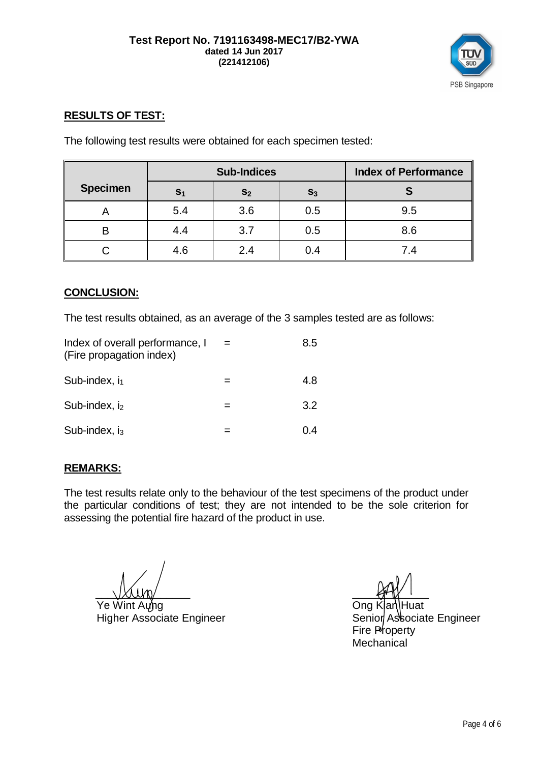

# **RESULTS OF TEST:**

The following test results were obtained for each specimen tested:

|                 | <b>Sub-Indices</b> |                |         | <b>Index of Performance</b> |
|-----------------|--------------------|----------------|---------|-----------------------------|
| <b>Specimen</b> | S <sub>1</sub>     | S <sub>2</sub> | $S_3$   |                             |
|                 | 5.4                | 3.6            | 0.5     | 9.5                         |
| B               |                    | 3.7            | $0.5\,$ | 8.6                         |
|                 | 4.6                | 2.4            | 0.4     | 74                          |

# **CONCLUSION:**

The test results obtained, as an average of the 3 samples tested are as follows:

| Index of overall performance, I<br>(Fire propagation index) | 8.5 |
|-------------------------------------------------------------|-----|
| Sub-index, $i_1$                                            | 4.8 |
| Sub-index, $i_2$                                            | 3.2 |
| Sub-index, $i_3$                                            |     |

# **REMARKS:**

The test results relate only to the behaviour of the test specimens of the product under the particular conditions of test; they are not intended to be the sole criterion for assessing the potential fire hazard of the product in use.

 $\frac{444V}{444V}$ 

Ye Wint Aung Cong Klan Huat

Higher Associate Engineer **Senior Associate Engineer** Senior Associate Engineer Fire Property **Mechanical**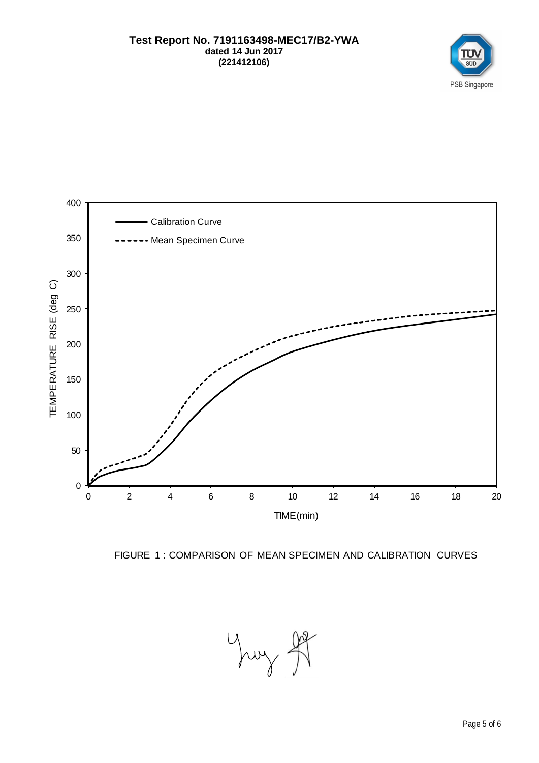



## FIGURE 1 : COMPARISON OF MEAN SPECIMEN AND CALIBRATION CURVES